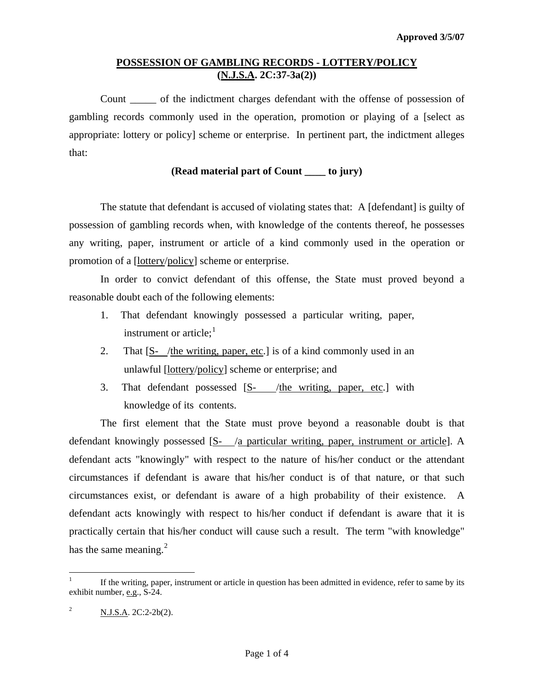# **POSSESSION OF GAMBLING RECORDS - LOTTERY/POLICY (N.J.S.A. 2C:37-3a(2))**

 Count \_\_\_\_\_ of the indictment charges defendant with the offense of possession of gambling records commonly used in the operation, promotion or playing of a [select as appropriate: lottery or policy] scheme or enterprise. In pertinent part, the indictment alleges that:

### **(Read material part of Count \_\_\_\_ to jury)**

 The statute that defendant is accused of violating states that: A [defendant] is guilty of possession of gambling records when, with knowledge of the contents thereof, he possesses any writing, paper, instrument or article of a kind commonly used in the operation or promotion of a [lottery/policy] scheme or enterprise.

 In order to convict defendant of this offense, the State must proved beyond a reasonable doubt each of the following elements:

- 1. That defendant knowingly possessed a particular writing, paper, instrument or article; $<sup>1</sup>$  $<sup>1</sup>$  $<sup>1</sup>$ </sup>
- 2. That [S- /the writing, paper, etc.] is of a kind commonly used in an unlawful [lottery/policy] scheme or enterprise; and
- 3. That defendant possessed [S- /the writing, paper, etc.] with knowledge of its contents.

 The first element that the State must prove beyond a reasonable doubt is that defendant knowingly possessed [S- /a particular writing, paper, instrument or article]. A defendant acts "knowingly" with respect to the nature of his/her conduct or the attendant circumstances if defendant is aware that his/her conduct is of that nature, or that such circumstances exist, or defendant is aware of a high probability of their existence. A defendant acts knowingly with respect to his/her conduct if defendant is aware that it is practically certain that his/her conduct will cause such a result. The term "with knowledge" has the same meaning. $^{2}$  $^{2}$  $^{2}$ 

<span id="page-0-0"></span> $\frac{1}{1}$  If the writing, paper, instrument or article in question has been admitted in evidence, refer to same by its exhibit number, e.g., S-24.

<span id="page-0-1"></span><sup>2</sup> N.J.S.A. 2C:2-2b(2).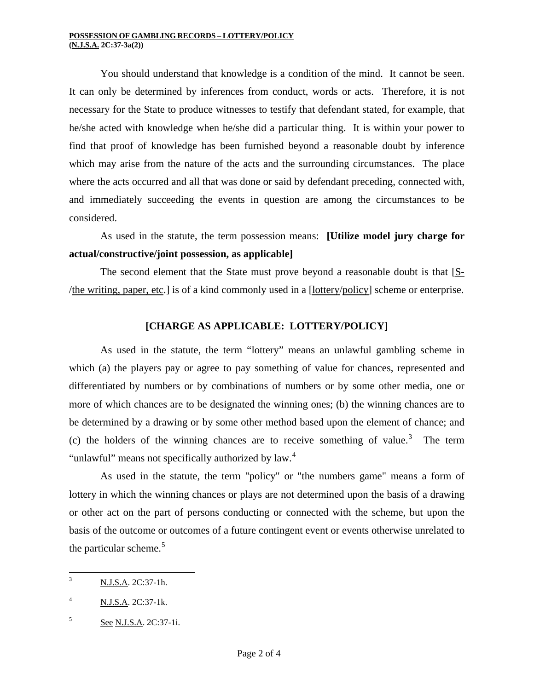You should understand that knowledge is a condition of the mind. It cannot be seen. It can only be determined by inferences from conduct, words or acts. Therefore, it is not necessary for the State to produce witnesses to testify that defendant stated, for example, that he/she acted with knowledge when he/she did a particular thing. It is within your power to find that proof of knowledge has been furnished beyond a reasonable doubt by inference which may arise from the nature of the acts and the surrounding circumstances. The place where the acts occurred and all that was done or said by defendant preceding, connected with, and immediately succeeding the events in question are among the circumstances to be considered.

 As used in the statute, the term possession means: **[Utilize model jury charge for actual/constructive/joint possession, as applicable]** 

The second element that the State must prove beyond a reasonable doubt is that [S-/the writing, paper, etc.] is of a kind commonly used in a [lottery/policy] scheme or enterprise.

# **[CHARGE AS APPLICABLE: LOTTERY/POLICY]**

 As used in the statute, the term "lottery" means an unlawful gambling scheme in which (a) the players pay or agree to pay something of value for chances, represented and differentiated by numbers or by combinations of numbers or by some other media, one or more of which chances are to be designated the winning ones; (b) the winning chances are to be determined by a drawing or by some other method based upon the element of chance; and (c) the holders of the winning chances are to receive something of value.<sup>[3](#page-0-0)</sup> The term "unlawful" means not specifically authorized by law.<sup>[4](#page-1-0)</sup>

 As used in the statute, the term "policy" or "the numbers game" means a form of lottery in which the winning chances or plays are not determined upon the basis of a drawing or other act on the part of persons conducting or connected with the scheme, but upon the basis of the outcome or outcomes of a future contingent event or events otherwise unrelated to the particular scheme.<sup>[5](#page-1-1)</sup>

<span id="page-1-2"></span><sup>&</sup>lt;sup>2</sup><br>3 N.J.S.A. 2C:37-1h.

<span id="page-1-0"></span><sup>4</sup> N.J.S.A. 2C:37-1k.

<span id="page-1-1"></span><sup>5</sup> See N.J.S.A. 2C:37-1i.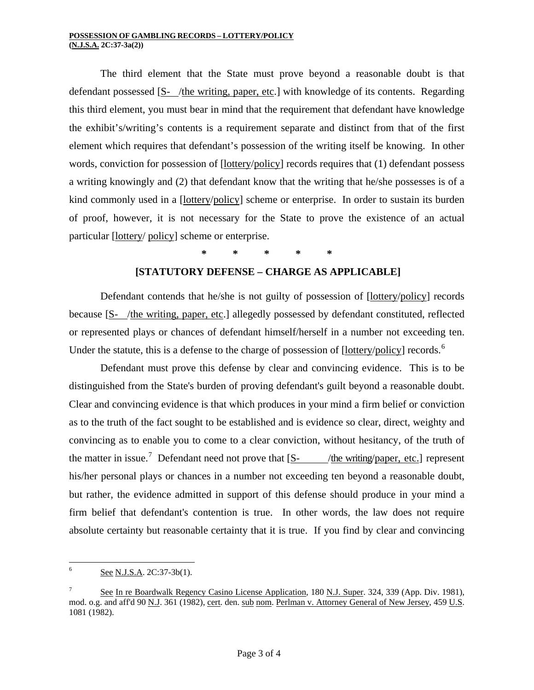#### **POSSESSION OF GAMBLING RECORDS – LOTTERY/POLICY (N.J.S.A. 2C:37-3a(2))**

 The third element that the State must prove beyond a reasonable doubt is that defendant possessed [S- /the writing, paper, etc.] with knowledge of its contents. Regarding this third element, you must bear in mind that the requirement that defendant have knowledge the exhibit's/writing's contents is a requirement separate and distinct from that of the first element which requires that defendant's possession of the writing itself be knowing. In other words, conviction for possession of [lottery/policy] records requires that (1) defendant possess a writing knowingly and (2) that defendant know that the writing that he/she possesses is of a kind commonly used in a [lottery/policy] scheme or enterprise. In order to sustain its burden of proof, however, it is not necessary for the State to prove the existence of an actual particular [lottery/ policy] scheme or enterprise.

**\* \* \* \* \*** 

### **[STATUTORY DEFENSE – CHARGE AS APPLICABLE]**

 Defendant contends that he/she is not guilty of possession of [lottery/policy] records because [S- /the writing, paper, etc.] allegedly possessed by defendant constituted, reflected or represented plays or chances of defendant himself/herself in a number not exceeding ten. Under the statute, this is a defense to the charge of possession of  $[lottery/policy]$  records.<sup>[6](#page-1-2)</sup>

 Defendant must prove this defense by clear and convincing evidence. This is to be distinguished from the State's burden of proving defendant's guilt beyond a reasonable doubt. Clear and convincing evidence is that which produces in your mind a firm belief or conviction as to the truth of the fact sought to be established and is evidence so clear, direct, weighty and convincing as to enable you to come to a clear conviction, without hesitancy, of the truth of the matter in issue.<sup>[7](#page-2-0)</sup> Defendant need not prove that  $[S-$  /the writing/paper, etc.] represent his/her personal plays or chances in a number not exceeding ten beyond a reasonable doubt, but rather, the evidence admitted in support of this defense should produce in your mind a firm belief that defendant's contention is true. In other words, the law does not require absolute certainty but reasonable certainty that it is true. If you find by clear and convincing

 $\frac{1}{6}$ See N.J.S.A. 2C:37-3b(1).

<span id="page-2-1"></span><span id="page-2-0"></span><sup>7</sup> See In re Boardwalk Regency Casino License Application, 180 N.J. Super. 324, 339 (App. Div. 1981), mod. o.g. and aff'd 90 N.J. 361 (1982), cert. den. sub nom. Perlman v. Attorney General of New Jersey, 459 U.S. 1081 (1982).